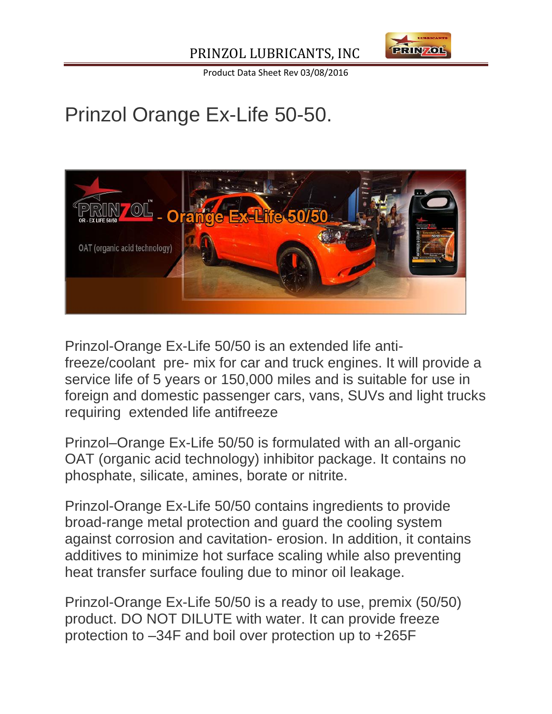

Product Data Sheet Rev 03/08/2016

# Prinzol Orange Ex-Life 50-50.



Prinzol-Orange Ex-Life 50/50 is an extended life antifreeze/coolant pre- mix for car and truck engines. It will provide a service life of 5 years or 150,000 miles and is suitable for use in foreign and domestic passenger cars, vans, SUVs and light trucks requiring extended life antifreeze

Prinzol–Orange Ex-Life 50/50 is formulated with an all-organic OAT (organic acid technology) inhibitor package. It contains no phosphate, silicate, amines, borate or nitrite.

Prinzol-Orange Ex-Life 50/50 contains ingredients to provide broad-range metal protection and guard the cooling system against corrosion and cavitation- erosion. In addition, it contains additives to minimize hot surface scaling while also preventing heat transfer surface fouling due to minor oil leakage.

Prinzol-Orange Ex-Life 50/50 is a ready to use, premix (50/50) product. DO NOT DILUTE with water. It can provide freeze protection to –34F and boil over protection up to +265F